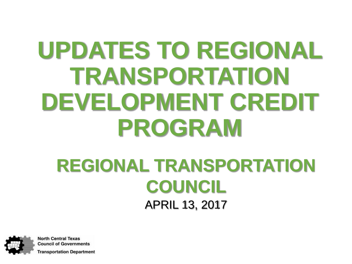# **UPDATES TO REGIONAL TRANSPORTATION DEVELOPMENT CREDIT PROGRAM**

#### **REGIONAL TRANSPORTATION COUNCIL** APRIL 13, 2017

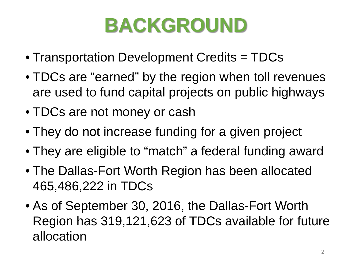## **BACKGROUND**

- Transportation Development Credits = TDCs
- TDCs are "earned" by the region when toll revenues are used to fund capital projects on public highways
- TDCs are not money or cash
- They do not increase funding for a given project
- They are eligible to "match" a federal funding award
- The Dallas-Fort Worth Region has been allocated 465,486,222 in TDCs
- As of September 30, 2016, the Dallas-Fort Worth Region has 319,121,623 of TDCs available for future allocation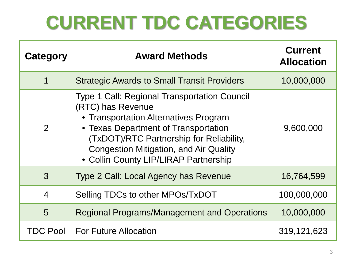### **CURRENT TDC CATEGORIES**

| Category        | <b>Award Methods</b>                                                                                                                                                                                                                                                                            | <b>Current</b><br><b>Allocation</b> |
|-----------------|-------------------------------------------------------------------------------------------------------------------------------------------------------------------------------------------------------------------------------------------------------------------------------------------------|-------------------------------------|
| 1               | <b>Strategic Awards to Small Transit Providers</b>                                                                                                                                                                                                                                              | 10,000,000                          |
| $\overline{2}$  | <b>Type 1 Call: Regional Transportation Council</b><br>(RTC) has Revenue<br>• Transportation Alternatives Program<br>• Texas Department of Transportation<br>(TxDOT)/RTC Partnership for Reliability,<br><b>Congestion Mitigation, and Air Quality</b><br>• Collin County LIP/LIRAP Partnership | 9,600,000                           |
| 3               | Type 2 Call: Local Agency has Revenue                                                                                                                                                                                                                                                           | 16,764,599                          |
| $\overline{4}$  | Selling TDCs to other MPOs/TxDOT                                                                                                                                                                                                                                                                | 100,000,000                         |
| 5               | <b>Regional Programs/Management and Operations</b>                                                                                                                                                                                                                                              | 10,000,000                          |
| <b>TDC Pool</b> | <b>For Future Allocation</b>                                                                                                                                                                                                                                                                    | 319, 121, 623                       |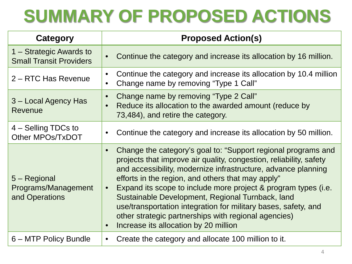### **SUMMARY OF PROPOSED ACTIONS**

| Category                                                  | <b>Proposed Action(s)</b>                                                                                                                                                                                                                                                                                                                                                                                                                                                                                                                                                                 |  |  |  |
|-----------------------------------------------------------|-------------------------------------------------------------------------------------------------------------------------------------------------------------------------------------------------------------------------------------------------------------------------------------------------------------------------------------------------------------------------------------------------------------------------------------------------------------------------------------------------------------------------------------------------------------------------------------------|--|--|--|
| 1 – Strategic Awards to<br><b>Small Transit Providers</b> | Continue the category and increase its allocation by 16 million.<br>$\bullet$                                                                                                                                                                                                                                                                                                                                                                                                                                                                                                             |  |  |  |
| 2 – RTC Has Revenue                                       | Continue the category and increase its allocation by 10.4 million<br>$\bullet$<br>Change name by removing "Type 1 Call"                                                                                                                                                                                                                                                                                                                                                                                                                                                                   |  |  |  |
| 3 - Local Agency Has<br><b>Revenue</b>                    | Change name by removing "Type 2 Call"<br>$\bullet$<br>Reduce its allocation to the awarded amount (reduce by<br>$\bullet$<br>73,484), and retire the category.                                                                                                                                                                                                                                                                                                                                                                                                                            |  |  |  |
| 4 – Selling TDCs to<br>Other MPOs/TxDOT                   | Continue the category and increase its allocation by 50 million.                                                                                                                                                                                                                                                                                                                                                                                                                                                                                                                          |  |  |  |
| 5 – Regional<br>Programs/Management<br>and Operations     | Change the category's goal to: "Support regional programs and<br>$\bullet$<br>projects that improve air quality, congestion, reliability, safety<br>and accessibility, modernize infrastructure, advance planning<br>efforts in the region, and others that may apply"<br>Expand its scope to include more project & program types (i.e.<br>$\bullet$<br>Sustainable Development, Regional Turnback, land<br>use/transportation integration for military bases, safety, and<br>other strategic partnerships with regional agencies)<br>Increase its allocation by 20 million<br>$\bullet$ |  |  |  |
| 6 – MTP Policy Bundle                                     | Create the category and allocate 100 million to it.                                                                                                                                                                                                                                                                                                                                                                                                                                                                                                                                       |  |  |  |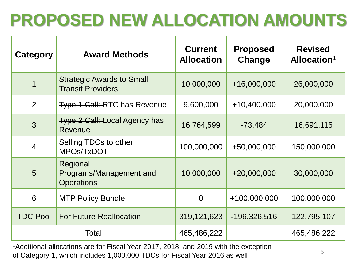### **PROPOSED NEW ALLOCATION AMOUNTS**

| Category        | <b>Award Methods</b>                                            | <b>Current</b><br><b>Allocation</b> | <b>Proposed</b><br>Change | <b>Revised</b><br>Allocation <sup>1</sup> |
|-----------------|-----------------------------------------------------------------|-------------------------------------|---------------------------|-------------------------------------------|
| 1               | <b>Strategic Awards to Small</b><br><b>Transit Providers</b>    | 10,000,000                          | $+16,000,000$             | 26,000,000                                |
| 2               | <b>Type 1 Call: RTC has Revenue</b>                             | 9,600,000                           | $+10,400,000$             | 20,000,000                                |
| 3               | <b>Type 2 Call: Local Agency has</b><br>Revenue                 | 16,764,599                          | $-73,484$                 | 16,691,115                                |
| $\overline{4}$  | Selling TDCs to other<br>MPOs/TxDOT                             | 100,000,000                         | +50,000,000               | 150,000,000                               |
| 5               | Regional<br><b>Programs/Management and</b><br><b>Operations</b> | 10,000,000                          | $+20,000,000$             | 30,000,000                                |
| 6               | <b>MTP Policy Bundle</b>                                        | $\overline{0}$                      | $+100,000,000$            | 100,000,000                               |
| <b>TDC Pool</b> | <b>For Future Reallocation</b>                                  | 319,121,623                         | $-196,326,516$            | 122,795,107                               |
| Total           |                                                                 | 465,486,222                         |                           | 465,486,222                               |

1Additional allocations are for Fiscal Year 2017, 2018, and 2019 with the exception of Category 1, which includes 1,000,000 TDCs for Fiscal Year 2016 as well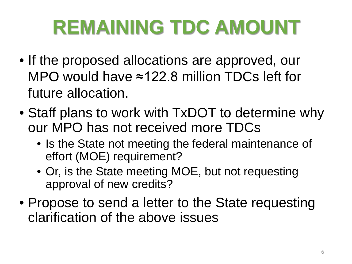# **REMAINING TDC AMOUNT**

- If the proposed allocations are approved, our MPO would have ≈122.8 million TDCs left for future allocation.
- Staff plans to work with TxDOT to determine why our MPO has not received more TDCs
	- Is the State not meeting the federal maintenance of effort (MOE) requirement?
	- Or, is the State meeting MOE, but not requesting approval of new credits?
- Propose to send a letter to the State requesting clarification of the above issues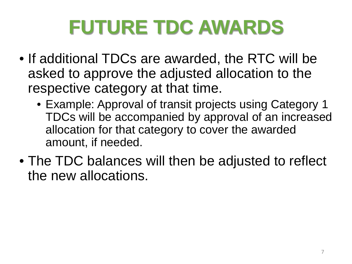# **FUTURE TDC AWARDS**

- If additional TDCs are awarded, the RTC will be asked to approve the adjusted allocation to the respective category at that time.
	- Example: Approval of transit projects using Category 1 TDCs will be accompanied by approval of an increased allocation for that category to cover the awarded amount, if needed.
- The TDC balances will then be adjusted to reflect the new allocations.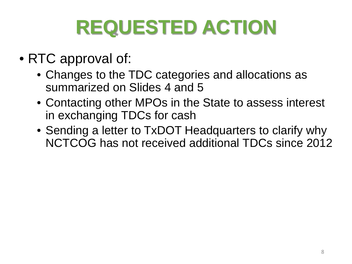# **REQUESTED ACTION**

- RTC approval of:
	- Changes to the TDC categories and allocations as summarized on Slides 4 and 5
	- Contacting other MPOs in the State to assess interest in exchanging TDCs for cash
	- Sending a letter to TxDOT Headquarters to clarify why NCTCOG has not received additional TDCs since 2012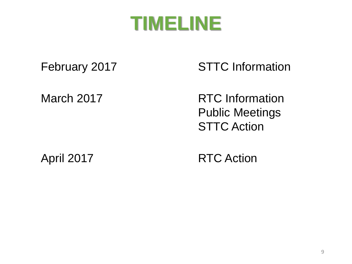

February 2017 STTC Information

March 2017 **RTC Information** Public Meetings **STTC Action** 

April 2017 RTC Action